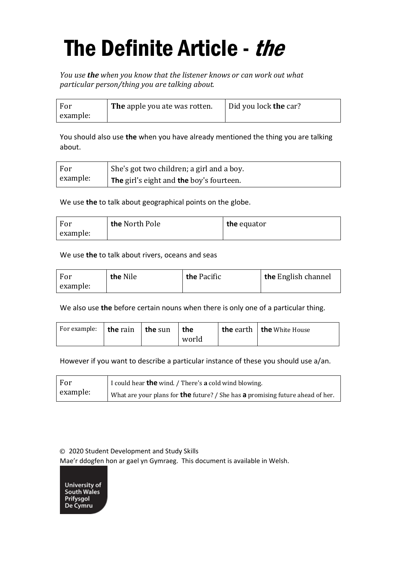## The Definite Article - the

*You use the when you know that the listener knows or can work out what particular person/thing you are talking about.*

| For      | The apple you ate was rotten. | Did you lock the car? |
|----------|-------------------------------|-----------------------|
| example: |                               |                       |

You should also use **the** when you have already mentioned the thing you are talking about.

| For      | She's got two children; a girl and a boy.             |
|----------|-------------------------------------------------------|
| example: | <sup>1</sup> The girl's eight and the boy's fourteen. |

We use **the** to talk about geographical points on the globe.

| For      | the North Pole | the equator |
|----------|----------------|-------------|
| example: |                |             |

We use **the** to talk about rivers, oceans and seas

| For      | the Nile | the Pacific | the English channel |
|----------|----------|-------------|---------------------|
| example: |          |             |                     |

We also use **the** before certain nouns when there is only one of a particular thing.

| For example: $ $ the rain | the sun | the   | the earth   the White House |
|---------------------------|---------|-------|-----------------------------|
|                           |         | world |                             |

However if you want to describe a particular instance of these you should use a/an.

| For      | I could hear <b>the</b> wind. / There's a cold wind blowing.                            |
|----------|-----------------------------------------------------------------------------------------|
| example: | What are your plans for <b>the</b> future? / She has $a$ promising future ahead of her. |

© 2020 Student Development and Study Skills

Mae'r ddogfen hon ar gael yn Gymraeg. This document is available in Welsh.

University of South Wales Prifysgol<br>De Cymru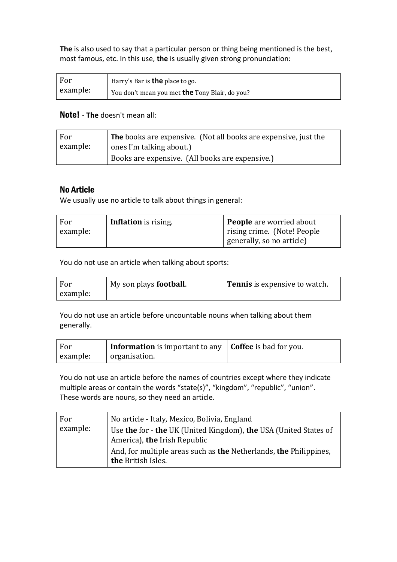**The** is also used to say that a particular person or thing being mentioned is the best, most famous, etc. In this use, **the** is usually given strong pronunciation:

| For      | Harry's Bar is <b>the</b> place to go.                |
|----------|-------------------------------------------------------|
| example: | You don't mean you met <b>the</b> Tony Blair, do you? |

## Note! - **The** doesn't mean all:

| For      | <b>The</b> books are expensive. (Not all books are expensive, just the |
|----------|------------------------------------------------------------------------|
| example: | ones I'm talking about.)                                               |
|          | Books are expensive. (All books are expensive.)                        |

## No Article

We usually use no article to talk about things in general:

| For      | <b>Inflation</b> is rising. | <b>People</b> are worried about |
|----------|-----------------------------|---------------------------------|
| example: |                             | rising crime. (Note! People     |
|          |                             | generally, so no article)       |

You do not use an article when talking about sports:

| For      | My son plays <b>football</b> . | <b>Tennis</b> is expensive to watch. |
|----------|--------------------------------|--------------------------------------|
| example: |                                |                                      |

You do not use an article before uncountable nouns when talking about them generally.

| For      | <b>Information</b> is important to any $\vert$ <b>Coffee</b> is bad for you. |  |
|----------|------------------------------------------------------------------------------|--|
| example: | organisation.                                                                |  |

You do not use an article before the names of countries except where they indicate multiple areas or contain the words "state(s)", "kingdom", "republic", "union". These words are nouns, so they need an article.

| For      | No article - Italy, Mexico, Bolivia, England                      |
|----------|-------------------------------------------------------------------|
| example: | Use the for - the UK (United Kingdom), the USA (United States of  |
|          | America), the Irish Republic                                      |
|          | And, for multiple areas such as the Netherlands, the Philippines, |
|          | the British Isles.                                                |